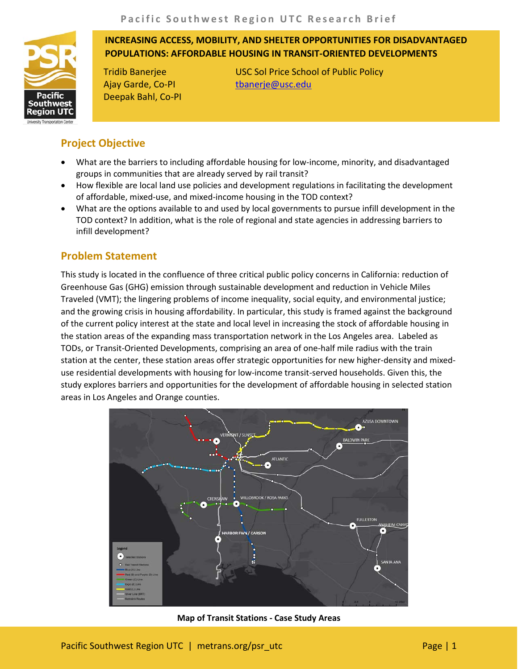**INCREASING ACCESS, MOBILITY, AND SHELTER OPPORTUNITIES FOR DISADVANTAGED POPULATIONS: AFFORDABLE HOUSING IN TRANSIT-ORIENTED DEVELOPMENTS**

Ajay Garde, Co-PI Deepak Bahl, Co-PI

Tridib Banerjee USC Sol Price School of Public Policy [tbanerje@usc.edu](mailto:tbanerje@usc.edu)

# **Project Objective**

Pacific outhwe: eaion

- What are the barriers to including affordable housing for low-income, minority, and disadvantaged groups in communities that are already served by rail transit?
- How flexible are local land use policies and development regulations in facilitating the development of affordable, mixed-use, and mixed-income housing in the TOD context?
- What are the options available to and used by local governments to pursue infill development in the TOD context? In addition, what is the role of regional and state agencies in addressing barriers to infill development?

# **Problem Statement**

This study is located in the confluence of three critical public policy concerns in California: reduction of Greenhouse Gas (GHG) emission through sustainable development and reduction in Vehicle Miles Traveled (VMT); the lingering problems of income inequality, social equity, and environmental justice; and the growing crisis in housing affordability. In particular, this study is framed against the background of the current policy interest at the state and local level in increasing the stock of affordable housing in the station areas of the expanding mass transportation network in the Los Angeles area. Labeled as TODs, or Transit-Oriented Developments, comprising an area of one-half mile radius with the train station at the center, these station areas offer strategic opportunities for new higher-density and mixeduse residential developments with housing for low-income transit-served households. Given this, the study explores barriers and opportunities for the development of affordable housing in selected station areas in Los Angeles and Orange counties.



**Map of Transit Stations - Case Study Areas**